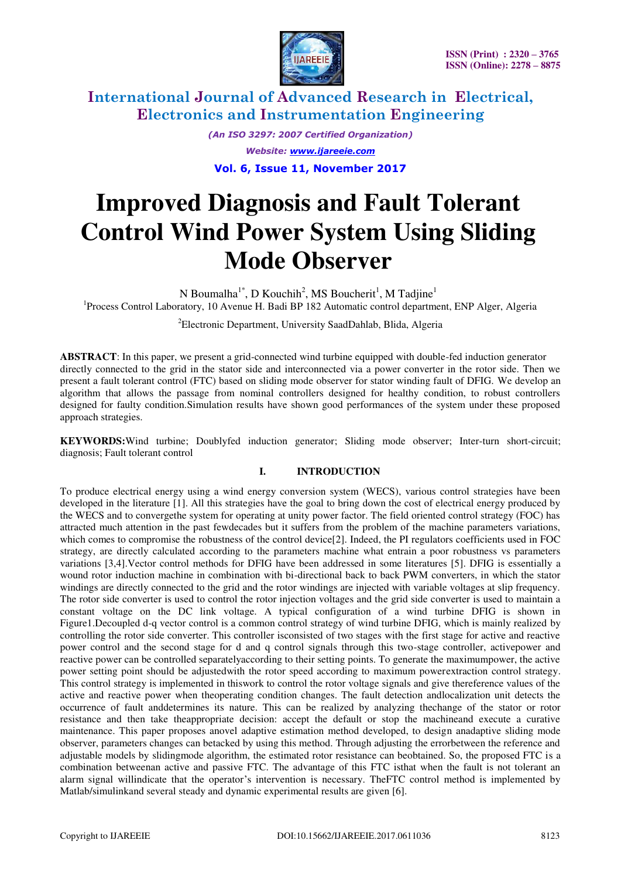

> *(An ISO 3297: 2007 Certified Organization) Website: [www.ijareeie.com](http://www.ijareeie.com/)*  **Vol. 6, Issue 11, November 2017**

# **Improved Diagnosis and Fault Tolerant Control Wind Power System Using Sliding Mode Observer**

N Boumalha<sup>1\*</sup>, D Kouchih<sup>2</sup>, MS Boucherit<sup>1</sup>, M Tadjine<sup>1</sup> <sup>1</sup>Process Control Laboratory, 10 Avenue H. Badi BP 182 Automatic control department, ENP Alger, Algeria

<sup>2</sup>Electronic Department, University SaadDahlab, Blida, Algeria

**ABSTRACT**: In this paper, we present a grid-connected wind turbine equipped with double-fed induction generator directly connected to the grid in the stator side and interconnected via a power converter in the rotor side. Then we present a fault tolerant control (FTC) based on sliding mode observer for stator winding fault of DFIG. We develop an algorithm that allows the passage from nominal controllers designed for healthy condition, to robust controllers designed for faulty condition.Simulation results have shown good performances of the system under these proposed approach strategies.

**KEYWORDS:**Wind turbine; Doublyfed induction generator; Sliding mode observer; Inter-turn short-circuit; diagnosis; Fault tolerant control

### **I. INTRODUCTION**

To produce electrical energy using a wind energy conversion system (WECS), various control strategies have been developed in the literature [1]. All this strategies have the goal to bring down the cost of electrical energy produced by the WECS and to convergethe system for operating at unity power factor. The field oriented control strategy (FOC) has attracted much attention in the past fewdecades but it suffers from the problem of the machine parameters variations, which comes to compromise the robustness of the control device[2]. Indeed, the PI regulators coefficients used in FOC strategy, are directly calculated according to the parameters machine what entrain a poor robustness vs parameters variations [3,4].Vector control methods for DFIG have been addressed in some literatures [5]. DFIG is essentially a wound rotor induction machine in combination with bi-directional back to back PWM converters, in which the stator windings are directly connected to the grid and the rotor windings are injected with variable voltages at slip frequency. The rotor side converter is used to control the rotor injection voltages and the grid side converter is used to maintain a constant voltage on the DC link voltage. A typical configuration of a wind turbine DFIG is shown in Figure1.Decoupled d-q vector control is a common control strategy of wind turbine DFIG, which is mainly realized by controlling the rotor side converter. This controller isconsisted of two stages with the first stage for active and reactive power control and the second stage for d and q control signals through this two-stage controller, activepower and reactive power can be controlled separatelyaccording to their setting points. To generate the maximumpower, the active power setting point should be adjustedwith the rotor speed according to maximum powerextraction control strategy. This control strategy is implemented in thiswork to control the rotor voltage signals and give thereference values of the active and reactive power when theoperating condition changes. The fault detection andlocalization unit detects the occurrence of fault anddetermines its nature. This can be realized by analyzing thechange of the stator or rotor resistance and then take theappropriate decision: accept the default or stop the machineand execute a curative maintenance. This paper proposes anovel adaptive estimation method developed, to design anadaptive sliding mode observer, parameters changes can betacked by using this method. Through adjusting the errorbetween the reference and adjustable models by slidingmode algorithm, the estimated rotor resistance can beobtained. So, the proposed FTC is a combination betweenan active and passive FTC. The advantage of this FTC isthat when the fault is not tolerant an alarm signal willindicate that the operator's intervention is necessary. TheFTC control method is implemented by Matlab/simulinkand several steady and dynamic experimental results are given [6].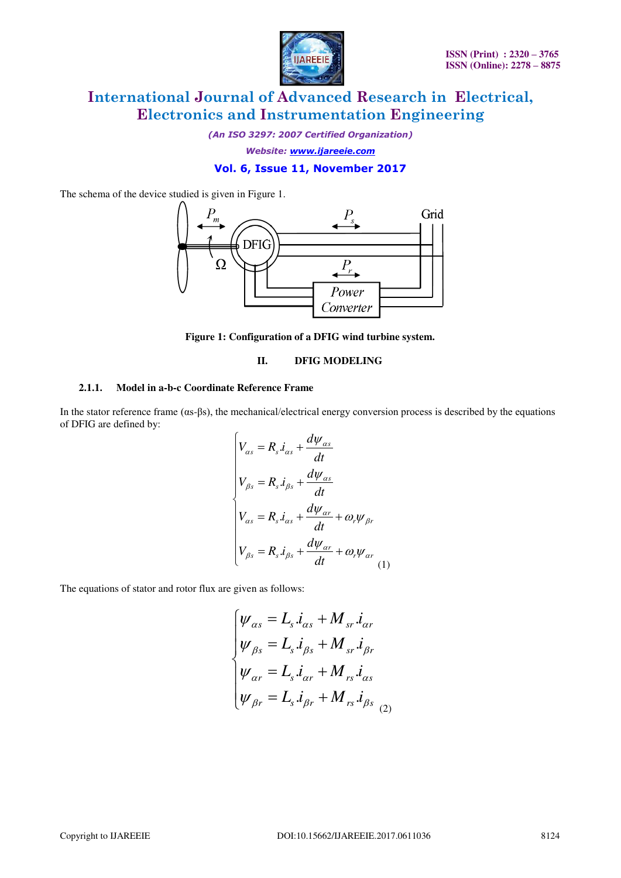

*(An ISO 3297: 2007 Certified Organization)* 

*Website: [www.ijareeie.com](http://www.ijareeie.com/)* 

### **Vol. 6, Issue 11, November 2017**

The schema of the device studied is given in Figure 1.



**Figure 1: Configuration of a DFIG wind turbine system.** 

#### **II. DFIG MODELING**

### **2.1.1. Model in a-b-c Coordinate Reference Frame**

In the stator reference frame (αs-βs), the mechanical/electrical energy conversion process is described by the equations of DFIG are defined by:

$$
\begin{cases}\nV_{\alpha s} = R_s \dot{I}_{\alpha s} + \frac{d\psi_{\alpha s}}{dt} \\
V_{\beta s} = R_s \dot{I}_{\beta s} + \frac{d\psi_{\alpha s}}{dt} \\
V_{\alpha s} = R_s \dot{I}_{\alpha s} + \frac{d\psi_{\alpha r}}{dt} + \omega_r \psi_{\beta r} \\
V_{\beta s} = R_s \dot{I}_{\beta s} + \frac{d\psi_{\alpha r}}{dt} + \omega_r \psi_{\alpha r} \\
(1)\n\end{cases}
$$

The equations of stator and rotor flux are given as follows:

$$
\begin{cases}\n\psi_{\alpha s} = L_s \dot{i}_{\alpha s} + M_{sr} \dot{i}_{\alpha r} \\
\psi_{\beta s} = L_s \dot{i}_{\beta s} + M_{sr} \dot{i}_{\beta r} \\
\psi_{\alpha r} = L_s \dot{i}_{\alpha r} + M_{rs} \dot{i}_{\alpha s} \\
\psi_{\beta r} = L_s \dot{i}_{\beta r} + M_{rs} \dot{i}_{\beta s} \\
\end{cases}
$$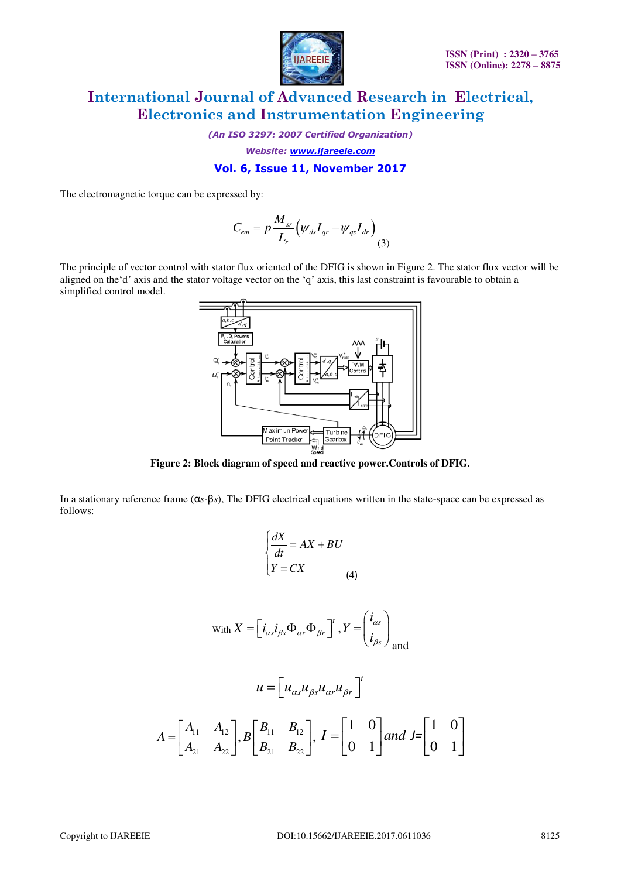

*(An ISO 3297: 2007 Certified Organization)* 

*Website: [www.ijareeie.com](http://www.ijareeie.com/)* 

#### **Vol. 6, Issue 11, November 2017**

The electromagnetic torque can be expressed by:

$$
C_{em} = p \frac{M_{sr}}{L_r} \left( \psi_{ds} I_{qr} - \psi_{qs} I_{dr} \right) \tag{3}
$$

The principle of vector control with stator flux oriented of the DFIG is shown in Figure 2. The stator flux vector will be aligned on the'd' axis and the stator voltage vector on the 'q' axis, this last constraint is favourable to obtain a simplified control model.



**Figure 2: Block diagram of speed and reactive power.Controls of DFIG.** 

In a stationary reference frame (α*s-*β*s*), The DFIG electrical equations written in the state-space can be expressed as follows:

$$
\begin{cases}\n\frac{dX}{dt} = AX + BU \\
Y = CX\n\end{cases} \quad (4)
$$
\n
$$
\text{With } X = \left[ i_{\alpha s} i_{\beta s} \Phi_{\alpha r} \Phi_{\beta r} \right]' , Y = \left( \frac{i_{\alpha s}}{i_{\beta s}} \right)_{\text{and}}
$$
\n
$$
u = \left[ u_{\alpha s} u_{\beta s} u_{\alpha r} u_{\beta r} \right]'
$$
\n
$$
A = \left[ \begin{array}{cc} A_{11} & A_{12} \\ A_{21} & A_{22} \end{array} \right] , B \left[ \begin{array}{cc} B_{11} & B_{12} \\ B_{21} & B_{22} \end{array} \right] , I = \left[ \begin{array}{cc} 1 & 0 \\ 0 & 1 \end{array} \right] \quad \text{and} \quad J = \left[ \begin{array}{cc} 1 & 0 \\ 0 & 1 \end{array} \right]
$$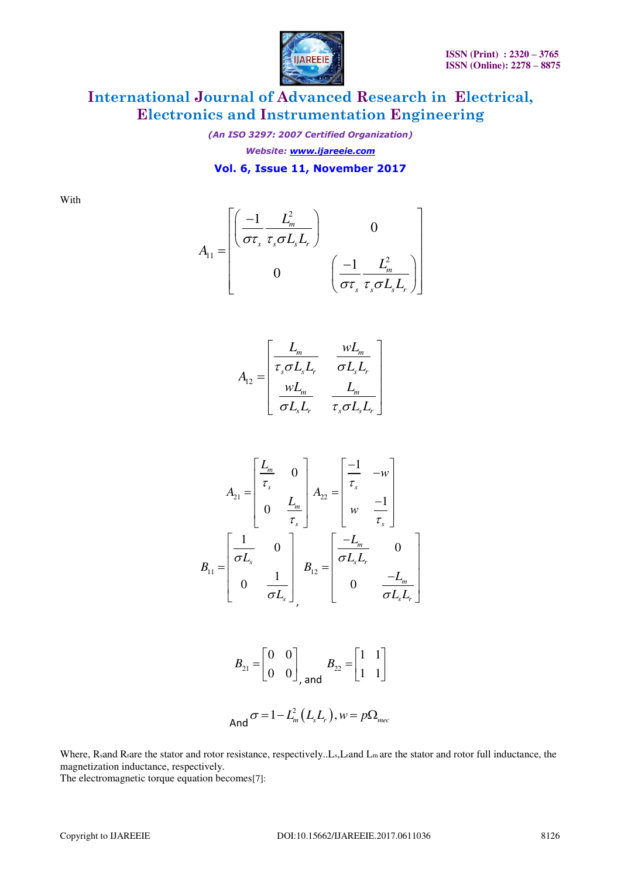

*(An ISO 3297: 2007 Certified Organization) Website: [www.ijareeie.com](http://www.ijareeie.com/)*  **Vol. 6, Issue 11, November 2017** 

With

$$
A_{11} = \begin{bmatrix} \left(\frac{-1}{\sigma\tau_s} \frac{L_m^2}{\tau_s \sigma L_s L_r}\right) & 0\\ 0 & \left(\frac{-1}{\sigma\tau_s} \frac{L_m^2}{\tau_s \sigma L_s L_r}\right) \end{bmatrix}
$$

$$
A_{12} = \begin{bmatrix} L_m & wL_m \\ \tau_s \sigma L_s L_r & \sigma L_s L_r \\ wL_m & L_m \\ \sigma L_s L_r & \tau_s \sigma L_s L_r \end{bmatrix}
$$

$$
A_{21} = \begin{bmatrix} \frac{L_m}{\tau_s} & 0 \\ 0 & \frac{L_m}{\tau_s} \end{bmatrix} A_{22} = \begin{bmatrix} \frac{-1}{\tau_s} & -w \\ w & \frac{-1}{\tau_s} \end{bmatrix}
$$

$$
B_{11} = \begin{bmatrix} \frac{1}{\sigma L_s} & 0 \\ 0 & \frac{1}{\sigma L_s} \end{bmatrix} B_{12} = \begin{bmatrix} \frac{-L_m}{\sigma L_s L_r} & 0 \\ 0 & \frac{-L_m}{\sigma L_s L_r} \end{bmatrix}
$$

$$
B_{21} = \begin{bmatrix} 0 & 0 \\ 0 & 0 \end{bmatrix}, \text{ and } B_{22} = \begin{bmatrix} 1 & 1 \\ 1 & 1 \end{bmatrix}
$$
  
And  $\sigma = 1 - L_m^2(L_s L_r)$ ,  $w = p\Omega_{mec}$ 

Where, Rsand Rrare the stator and rotor resistance, respectively..Ls,Lrand Lm are the stator and rotor full inductance, the magnetization inductance, respectively.

The electromagnetic torque equation becomes[7]: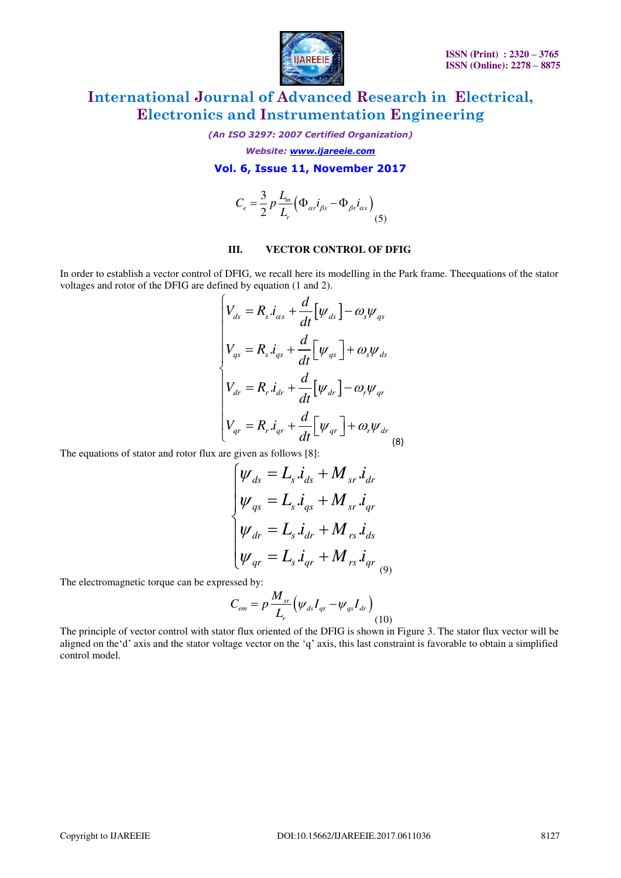

*(An ISO 3297: 2007 Certified Organization)* 

*Website: [www.ijareeie.com](http://www.ijareeie.com/)* 

#### **Vol. 6, Issue 11, November 2017**

$$
C_e = \frac{3}{2} p \frac{L_m}{L_r} \left( \Phi_{\alpha r} i_{\beta s} - \Phi_{\beta r} i_{\alpha s} \right)
$$
(5)

### **III. VECTOR CONTROL OF DFIG**

In order to establish a vector control of DFIG, we recall here its modelling in the Park frame. Theequations of the stator voltages and rotor of the DFIG are defined by equation (1 and 2).

$$
\begin{cases}\nV_{ds} = R_s \dot{i}_{\alpha s} + \frac{d}{dt} \left[ \psi_{ds} \right] - \omega_s \psi_{qs} \\
V_{qs} = R_s \dot{i}_{qs} + \frac{d}{dt} \left[ \psi_{qs} \right] + \omega_s \psi_{ds} \\
V_{dr} = R_r \dot{i}_{dr} + \frac{d}{dt} \left[ \psi_{dr} \right] - \omega_r \psi_{qr} \\
V_{qr} = R_r \dot{i}_{qr} + \frac{d}{dt} \left[ \psi_{qr} \right] + \omega_r \psi_{dr} \\
8\n\end{cases}
$$

The equations of stator and rotor flux are given as follows [8]:

$$
\begin{cases}\n\psi_{ds} = L_s \dot{i}_{ds} + M_{sr} \dot{i}_{dr} \\
\psi_{qs} = L_s \dot{i}_{qs} + M_{sr} \dot{i}_{qr} \\
\psi_{dr} = L_s \dot{i}_{dr} + M_{rs} \dot{i}_{ds} \\
\psi_{qr} = L_s \dot{i}_{qr} + M_{rs} \dot{i}_{qr} \\
\phi_{qr} = L_s \dot{i}_{qr} + M_{rs} \dot{i}_{qr}\n\end{cases}
$$

The electromagnetic torque can be expressed by:

$$
C_{em} = p \frac{M_{sr}}{L_r} \Big( \psi_{ds} I_{qr} - \psi_{qs} I_{dr} \Big) \tag{10}
$$

The principle of vector control with stator flux oriented of the DFIG is shown in Figure 3. The stator flux vector will be aligned on the'd' axis and the stator voltage vector on the 'q' axis, this last constraint is favorable to obtain a simplified control model.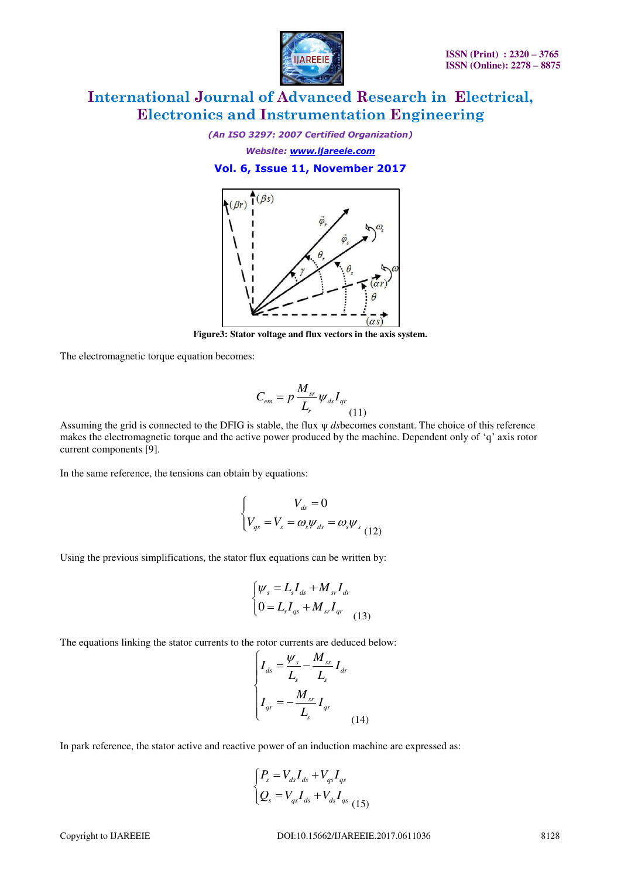

*(An ISO 3297: 2007 Certified Organization) Website: [www.ijareeie.com](http://www.ijareeie.com/)* 

**Vol. 6, Issue 11, November 2017** 



**Figure3: Stator voltage and flux vectors in the axis system.** 

The electromagnetic torque equation becomes:

$$
C_{em} = p \frac{M_{sr}}{L_r} \psi_{ds} I_{qr}
$$
\n(11)

Assuming the grid is connected to the DFIG is stable, the flux  $\psi$  dsbecomes constant. The choice of this reference makes the electromagnetic torque and the active power produced by the machine. Dependent only of 'q' axis rotor current components [9].

In the same reference, the tensions can obtain by equations:

$$
\begin{cases}\nV_{ds} = 0 \\
V_{qs} = V_s = \omega_s \psi_{ds} = \omega_s \psi_{s} \\
\end{cases}
$$

Using the previous simplifications, the stator flux equations can be written by:

$$
\begin{cases} \psi_s = L_s I_{ds} + M_{sr} I_{dr} \\ 0 = L_s I_{qs} + M_{sr} I_{qr} \end{cases} (13)
$$

The equations linking the stator currents to the rotor currents are deduced below:

$$
\begin{cases}\nI_{ds} = \frac{W_s}{L_s} - \frac{M_{sr}}{L_s} I_{dr} \\
I_{qr} = -\frac{M_{sr}}{L_s} I_{qr}\n\end{cases}
$$
\n(14)

In park reference, the stator active and reactive power of an induction machine are expressed as:

$$
\begin{cases} P_s = V_{ds} I_{ds} + V_{qs} I_{qs} \\ Q_s = V_{qs} I_{ds} + V_{ds} I_{qs} \\ (15) \end{cases}
$$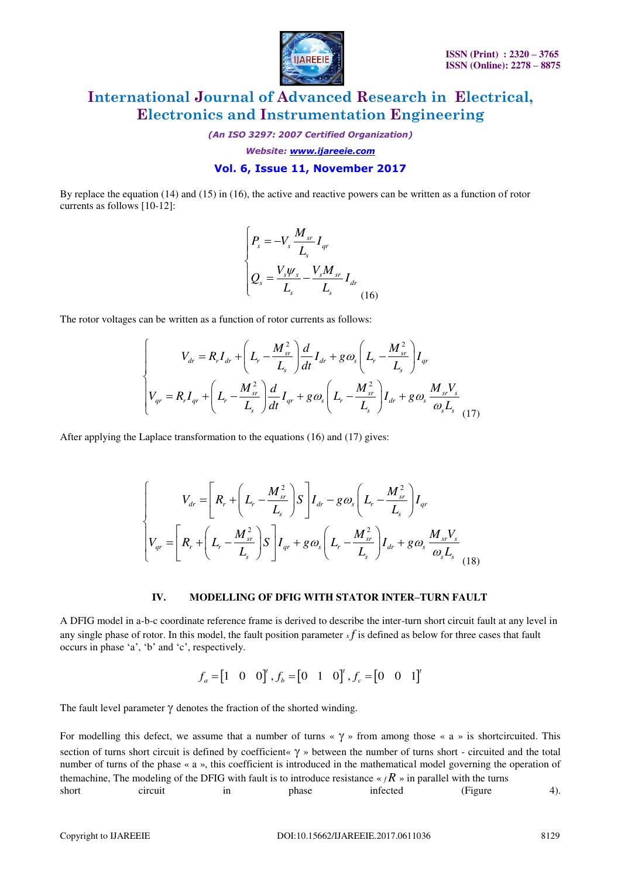

*(An ISO 3297: 2007 Certified Organization)* 

*Website: [www.ijareeie.com](http://www.ijareeie.com/)* 

### **Vol. 6, Issue 11, November 2017**

By replace the equation (14) and (15) in (16), the active and reactive powers can be written as a function of rotor currents as follows [10-12]:

$$
\begin{cases}\nP_s = -V_s \frac{M_{sr}}{L_s} I_{qr} \\
Q_s = \frac{V_s \psi_s}{L_s} - \frac{V_s M_{sr}}{L_s} I_{dr}\n\end{cases} (16)
$$

The rotor voltages can be written as a function of rotor currents as follows:

$$
\begin{cases}\nV_{dr} = R_r I_{dr} + \left(L_r - \frac{M_{sr}^2}{L_s}\right) \frac{d}{dt} I_{dr} + g \omega_s \left(L_r - \frac{M_{sr}^2}{L_s}\right) I_{qr} \\
V_{qr} = R_r I_{qr} + \left(L_r - \frac{M_{sr}^2}{L_s}\right) \frac{d}{dt} I_{qr} + g \omega_s \left(L_r - \frac{M_{sr}^2}{L_s}\right) I_{dr} + g \omega_s \frac{M_{sr} V_s}{\omega_s L_s} \end{cases} (17)
$$

After applying the Laplace transformation to the equations (16) and (17) gives:

$$
\begin{cases}\nV_{dr} = \left[R_r + \left(L_r - \frac{M_{sr}^2}{L_s}\right)S\right]I_{dr} - g\omega_s\left(L_r - \frac{M_{sr}^2}{L_s}\right)I_{qr} \\
V_{qr} = \left[R_r + \left(L_r - \frac{M_{sr}^2}{L_s}\right)S\right]I_{qr} + g\omega_s\left(L_r - \frac{M_{sr}^2}{L_s}\right)I_{dr} + g\omega_s\frac{M_{sr}V_s}{\omega_sL_s}\right] \n\end{cases} \tag{18}
$$

#### **IV. MODELLING OF DFIG WITH STATOR INTER–TURN FAULT**

A DFIG model in a-b-c coordinate reference frame is derived to describe the inter-turn short circuit fault at any level in any single phase of rotor. In this model, the fault position parameter  $x f$  is defined as below for three cases that fault occurs in phase 'a', 'b' and 'c', respectively.

$$
f_a = \begin{bmatrix} 1 & 0 & 0 \end{bmatrix}^t, f_b = \begin{bmatrix} 0 & 1 & 0 \end{bmatrix}^t, f_c = \begin{bmatrix} 0 & 0 & 1 \end{bmatrix}^t
$$

The fault level parameter  $\gamma$  denotes the fraction of the shorted winding.

For modelling this defect, we assume that a number of turns  $\lt \gamma$  » from among those  $\lt \lt a$  » is shortcircuited. This section of turns short circuit is defined by coefficient«  $\gamma$  » between the number of turns short - circuited and the total number of turns of the phase « a », this coefficient is introduced in the mathematical model governing the operation of themachine, The modeling of the DFIG with fault is to introduce resistance  $\kappa_f R$  » in parallel with the turns short circuit in phase infected (Figure 4).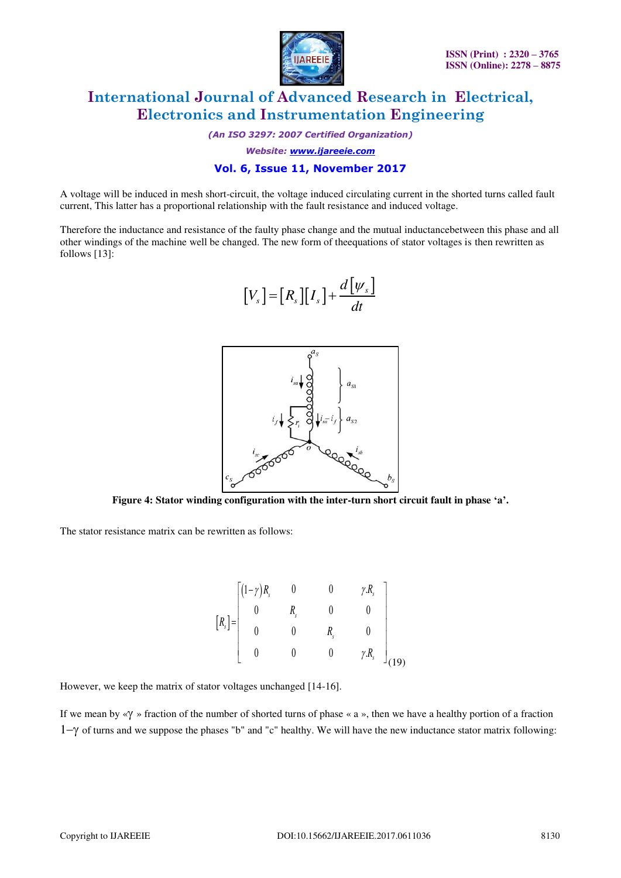

*(An ISO 3297: 2007 Certified Organization)* 

*Website: [www.ijareeie.com](http://www.ijareeie.com/)* 

### **Vol. 6, Issue 11, November 2017**

A voltage will be induced in mesh short-circuit, the voltage induced circulating current in the shorted turns called fault current, This latter has a proportional relationship with the fault resistance and induced voltage.

Therefore the inductance and resistance of the faulty phase change and the mutual inductancebetween this phase and all other windings of the machine well be changed. The new form of theequations of stator voltages is then rewritten as follows [13]:

$$
[V_s] = [R_s][I_s] + \frac{d[\psi_s]}{dt}
$$



**Figure 4: Stator winding configuration with the inter-turn short circuit fault in phase 'a'.** 

The stator resistance matrix can be rewritten as follows:

$$
\begin{bmatrix} R_s \end{bmatrix} = \begin{bmatrix} (1-\gamma)R_s & 0 & 0 & \gamma.R_s \\ 0 & R_s & 0 & 0 \\ 0 & 0 & R_s & 0 \\ 0 & 0 & 0 & \gamma.R_s \end{bmatrix}
$$
 (19)

However, we keep the matrix of stator voltages unchanged [14-16].

If we mean by « $\gamma$  » fraction of the number of shorted turns of phase « a », then we have a healthy portion of a fraction  $1-\gamma$  of turns and we suppose the phases "b" and "c" healthy. We will have the new inductance stator matrix following: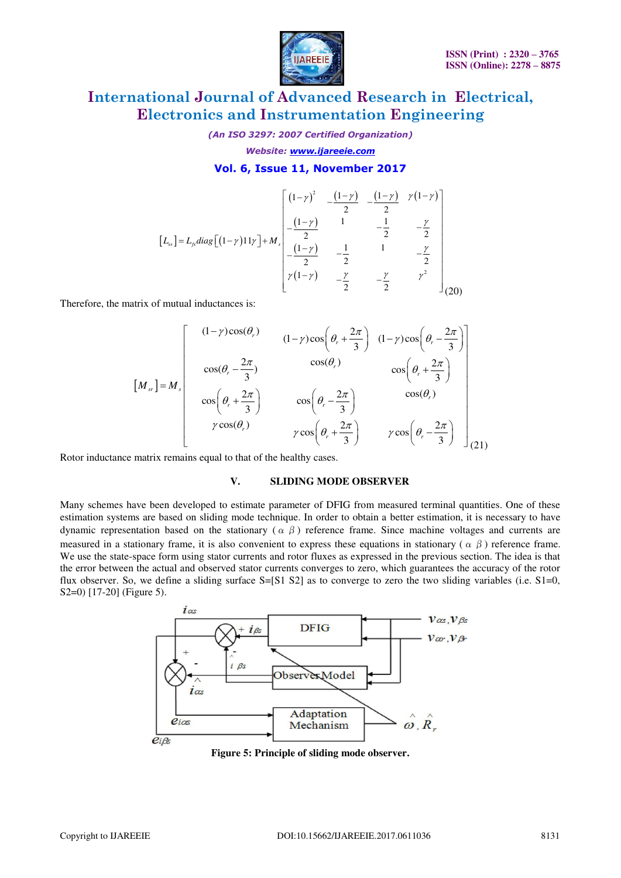

*(An ISO 3297: 2007 Certified Organization) Website: [www.ijareeie.com](http://www.ijareeie.com/)* 

#### **Vol. 6, Issue 11, November 2017**

$$
\begin{bmatrix} L_{ss} \end{bmatrix} = L_{fs} diag\left[ (1-\gamma)11\gamma \right] + M_{s} \begin{bmatrix} (1-\gamma)^{2} & -\frac{(1-\gamma)}{2} & -\frac{(1-\gamma)}{2} & \gamma(1-\gamma) \\ -\frac{(1-\gamma)}{2} & 1 & -\frac{1}{2} & -\frac{\gamma}{2} \\ -\frac{(1-\gamma)}{2} & -\frac{1}{2} & 1 & -\frac{\gamma}{2} \\ \gamma(1-\gamma) & -\frac{\gamma}{2} & -\frac{\gamma}{2} & \gamma^{2} \end{bmatrix}_{(20)}
$$

Therefore, the matrix of mutual inductances is:

$$
\begin{bmatrix}\n(1-\gamma)\cos(\theta_r) & (1-\gamma)\cos\left(\theta_r + \frac{2\pi}{3}\right) & (1-\gamma)\cos\left(\theta_r - \frac{2\pi}{3}\right) \\
\cos(\theta_r - \frac{2\pi}{3}) & \cos(\theta_r) & \cos\left(\theta_r + \frac{2\pi}{3}\right) \\
\cos\left(\theta_r + \frac{2\pi}{3}\right) & \cos\left(\theta_r - \frac{2\pi}{3}\right) & \cos(\theta_r)\n\end{bmatrix}
$$
\n
$$
\gamma \cos(\theta_r) \qquad \gamma \cos\left(\theta_r + \frac{2\pi}{3}\right) \qquad \gamma \cos\left(\theta_r - \frac{2\pi}{3}\right) \qquad \gamma \cos\left(\theta_r - \frac{2\pi}{3}\right) \qquad (21)
$$

Rotor inductance matrix remains equal to that of the healthy cases.

#### **V. SLIDING MODE OBSERVER**

Many schemes have been developed to estimate parameter of DFIG from measured terminal quantities. One of these estimation systems are based on sliding mode technique. In order to obtain a better estimation, it is necessary to have dynamic representation based on the stationary ( $\alpha \beta$ ) reference frame. Since machine voltages and currents are measured in a stationary frame, it is also convenient to express these equations in stationary ( $\alpha \beta$ ) reference frame. We use the state-space form using stator currents and rotor fluxes as expressed in the previous section. The idea is that the error between the actual and observed stator currents converges to zero, which guarantees the accuracy of the rotor flux observer. So, we define a sliding surface S=[S1 S2] as to converge to zero the two sliding variables (i.e. S1=0, S2=0) [17-20] (Figure 5).



**Figure 5: Principle of sliding mode observer.**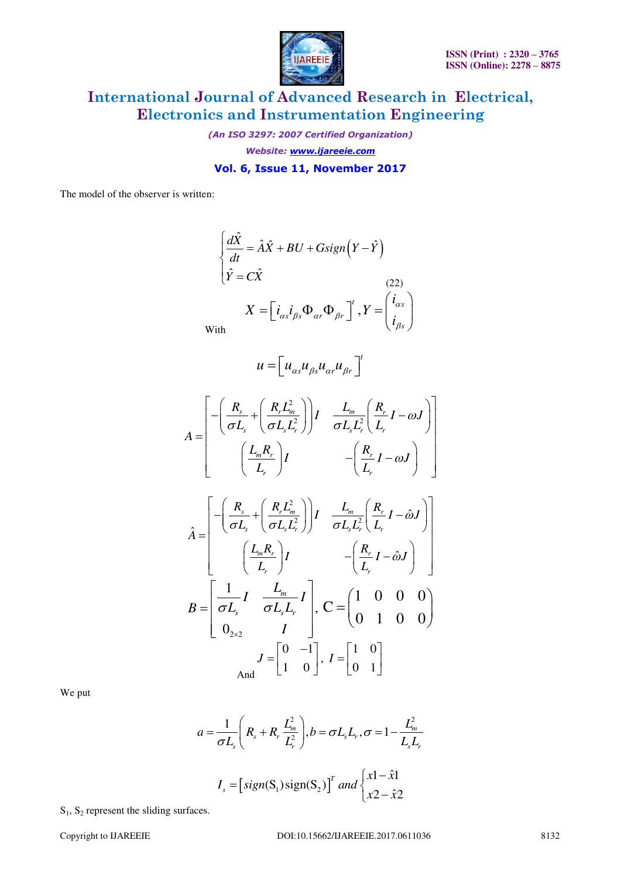

*(An ISO 3297: 2007 Certified Organization) Website: [www.ijareeie.com](http://www.ijareeie.com/)* 

**Vol. 6, Issue 11, November 2017** 

The model of the observer is written:

$$
\begin{cases}\n\frac{d\hat{X}}{dt} = \hat{A}\hat{X} + BU + Gsign(Y - \hat{Y}) \\
\hat{Y} = C\hat{X} \n\end{cases}
$$
\n(22)\n
$$
X = \begin{bmatrix} i_{\alpha s} i_{\beta s} \Phi_{\alpha r} \Phi_{\beta r} \end{bmatrix}^t, Y = \begin{pmatrix} i_{\alpha s} \\
i_{\beta s} \end{pmatrix}
$$
\nWith

W

$$
u = \left[ u_{\alpha s} u_{\beta s} u_{\alpha r} u_{\beta r} \right]^t
$$

$$
A = \begin{bmatrix} -\left(\frac{R_s}{\sigma L_s} + \left(\frac{R_r L_m^2}{\sigma L_s L_r^2}\right)\right)I & \frac{L_m}{\sigma L_s L_r^2} \left(\frac{R_r}{L_r}I - \omega J\right) \\ \left(\frac{L_m R_r}{L_r}\right)I & -\left(\frac{R_r}{L_r}I - \omega J\right) \end{bmatrix}
$$

$$
\hat{A} = \begin{bmatrix}\n-\left(\frac{R_s}{\sigma L_s} + \left(\frac{R_r L_m^2}{\sigma L_s L_r^2}\right)\right)I & \frac{L_m}{\sigma L_s L_r^2} \left(\frac{R_r}{L_r}I - \hat{\omega}J\right) \\
\left(\frac{L_m R_r}{L_r}\right)I & -\left(\frac{R_r}{L_r}I - \hat{\omega}J\right) \\
B = \begin{bmatrix}\n\frac{1}{\sigma L_s}I & \frac{L_m}{\sigma L_s L_r}I \\
0_{2 \times 2} & I\n\end{bmatrix}, \quad C = \begin{bmatrix}\n1 & 0 & 0 & 0 \\
0 & 1 & 0 & 0\n\end{bmatrix}
$$
\n
$$
J = \begin{bmatrix}\n0 & -1 \\
1 & 0\n\end{bmatrix}, \quad I = \begin{bmatrix}\n1 & 0 \\
0 & 1\n\end{bmatrix}
$$

We put

$$
a = \frac{1}{\sigma L_s} \left( R_s + R_r \frac{L_m^2}{L_r^2} \right), b = \sigma L_s L_r, \sigma = 1 - \frac{L_m^2}{L_s L_r}
$$

$$
I_s = \left[ sign(S_1) sign(S_2) \right]^T and \begin{cases} x1 - \hat{x}1 \\ x2 - \hat{x}2 \end{cases}
$$

 $S_1$ ,  $S_2$  represent the sliding surfaces.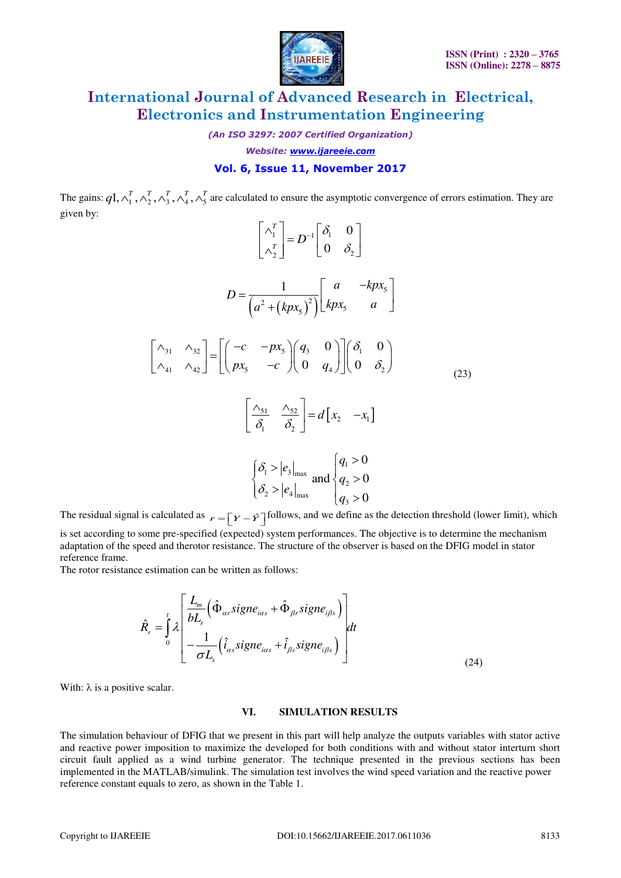

*(An ISO 3297: 2007 Certified Organization)* 

*Website: [www.ijareeie.com](http://www.ijareeie.com/)* 

### **Vol. 6, Issue 11, November 2017**

The gains:  $q1, \lambda_1^T, \lambda_2^T, \lambda_3^T, \lambda_4^T, \lambda_5^T$  are calculated to ensure the asymptotic convergence of errors estimation. They are given by:

$$
\begin{bmatrix} \lambda_1^T \\ \lambda_2^T \end{bmatrix} = D^{-1} \begin{bmatrix} \delta_1 & 0 \\ 0 & \delta_2 \end{bmatrix}
$$
  

$$
D = \frac{1}{\left(a^2 + (kpx_5)^2\right)} \begin{bmatrix} a & -kpx_5 \\ kpx_5 & a \end{bmatrix}
$$
  

$$
\begin{bmatrix} \lambda_{31} & \lambda_{32} \\ \lambda_{41} & \lambda_{42} \end{bmatrix} = \begin{bmatrix} -c & -px_5 \\ px_5 & -c \end{bmatrix} \begin{bmatrix} q_3 & 0 \\ 0 & q_4 \end{bmatrix} \begin{bmatrix} \delta_1 & 0 \\ 0 & \delta_2 \end{bmatrix}
$$
  

$$
\begin{bmatrix} \frac{\lambda_{51}}{\delta_1} & \frac{\lambda_{52}}{\delta_2} \end{bmatrix} = d \begin{bmatrix} x_2 & -x_1 \end{bmatrix}
$$
  

$$
\begin{bmatrix} \delta_1 > |e_3|_{\text{max}} \\ \delta_2 > |e_4|_{\text{max}} \end{bmatrix} \begin{bmatrix} q_1 > 0 \\ q_2 > 0 \\ q_3 > 0 \end{bmatrix}
$$

The residual signal is calculated as  $r = \left[ Y - \hat{Y} \right]$  follows, and we define as the detection threshold (lower limit), which

is set according to some pre-specified (expected) system performances. The objective is to determine the mechanism adaptation of the speed and therotor resistance. The structure of the observer is based on the DFIG model in stator reference frame.

The rotor resistance estimation can be written as follows:

$$
\hat{R}_r = \int_0^t \lambda \left[ \frac{L_m}{bL_r} \left( \hat{\Phi}_{\alpha r} signe_{i\alpha s} + \hat{\Phi}_{\beta r} signe_{i\beta s} \right) \right] dt + \frac{1}{\sigma L_s} \left( \hat{i}_{\alpha s} signe_{i\alpha s} + \hat{i}_{\beta s} signe_{i\beta s} \right) \right]
$$
\n(24)

With:  $\lambda$  is a positive scalar.

#### **VI. SIMULATION RESULTS**

The simulation behaviour of DFIG that we present in this part will help analyze the outputs variables with stator active and reactive power imposition to maximize the developed for both conditions with and without stator interturn short circuit fault applied as a wind turbine generator. The technique presented in the previous sections has been implemented in the MATLAB/simulink. The simulation test involves the wind speed variation and the reactive power reference constant equals to zero, as shown in the Table 1.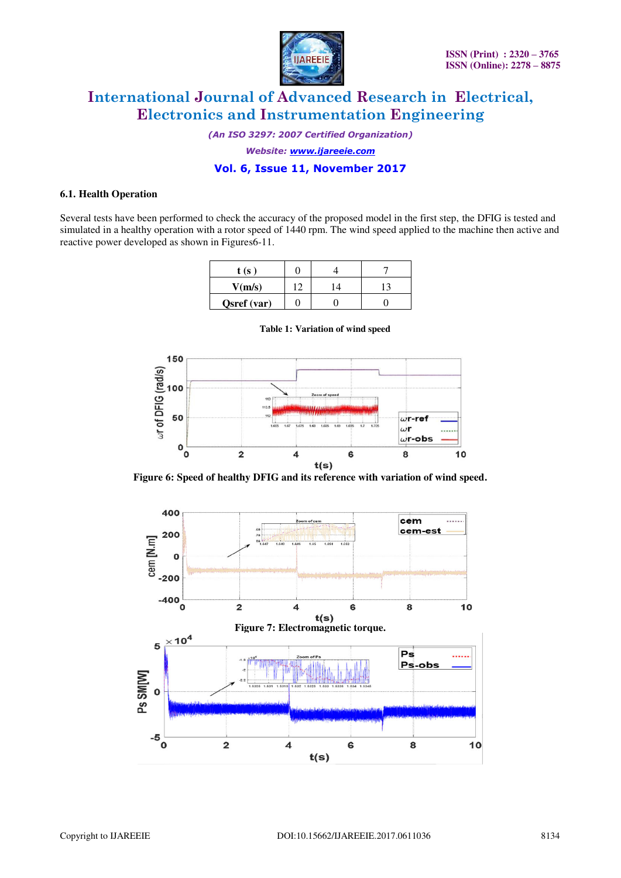

*(An ISO 3297: 2007 Certified Organization)* 

*Website: [www.ijareeie.com](http://www.ijareeie.com/)* 

### **Vol. 6, Issue 11, November 2017**

#### **6.1. Health Operation**

Several tests have been performed to check the accuracy of the proposed model in the first step, the DFIG is tested and simulated in a healthy operation with a rotor speed of 1440 rpm. The wind speed applied to the machine then active and reactive power developed as shown in Figures6-11.

| t (s ˈ      |             |   |  |
|-------------|-------------|---|--|
| V(m/s)      | $1^{\circ}$ | Δ |  |
| Qsref (var) |             |   |  |



**Table 1: Variation of wind speed** 

**Figure 6: Speed of healthy DFIG and its reference with variation of wind speed.** 

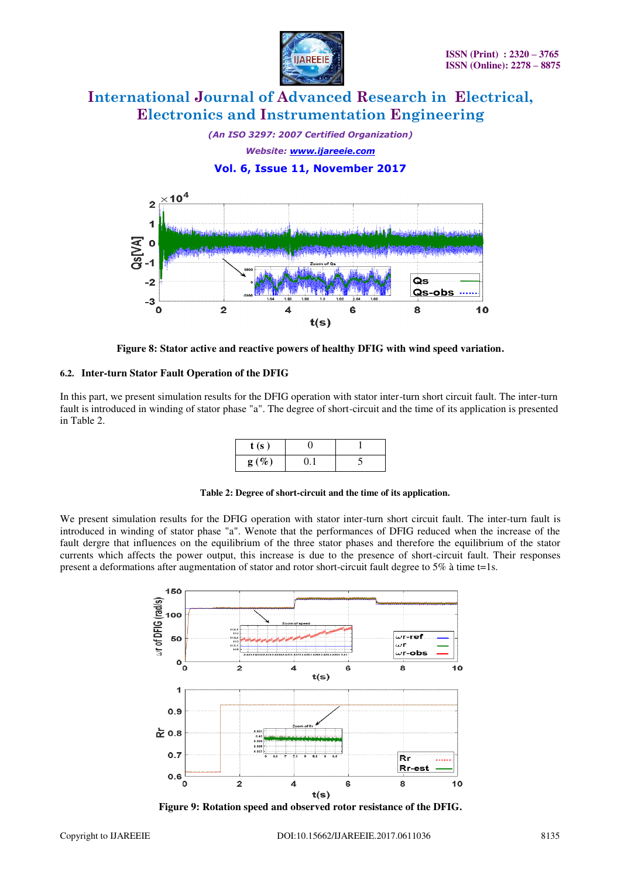

*(An ISO 3297: 2007 Certified Organization) Website: [www.ijareeie.com](http://www.ijareeie.com/)*  **Vol. 6, Issue 11, November 2017** 



**Figure 8: Stator active and reactive powers of healthy DFIG with wind speed variation.** 

#### **6.2. Inter-turn Stator Fault Operation of the DFIG**

In this part, we present simulation results for the DFIG operation with stator inter-turn short circuit fault. The inter-turn fault is introduced in winding of stator phase "a". The degree of short-circuit and the time of its application is presented in Table 2.

| t(s)    |  |
|---------|--|
| $g(\%)$ |  |

**Table 2: Degree of short-circuit and the time of its application.** 

We present simulation results for the DFIG operation with stator inter-turn short circuit fault. The inter-turn fault is introduced in winding of stator phase "a". Wenote that the performances of DFIG reduced when the increase of the fault dergre that influences on the equilibrium of the three stator phases and therefore the equilibrium of the stator currents which affects the power output, this increase is due to the presence of short-circuit fault. Their responses present a deformations after augmentation of stator and rotor short-circuit fault degree to 5% à time t=1s.



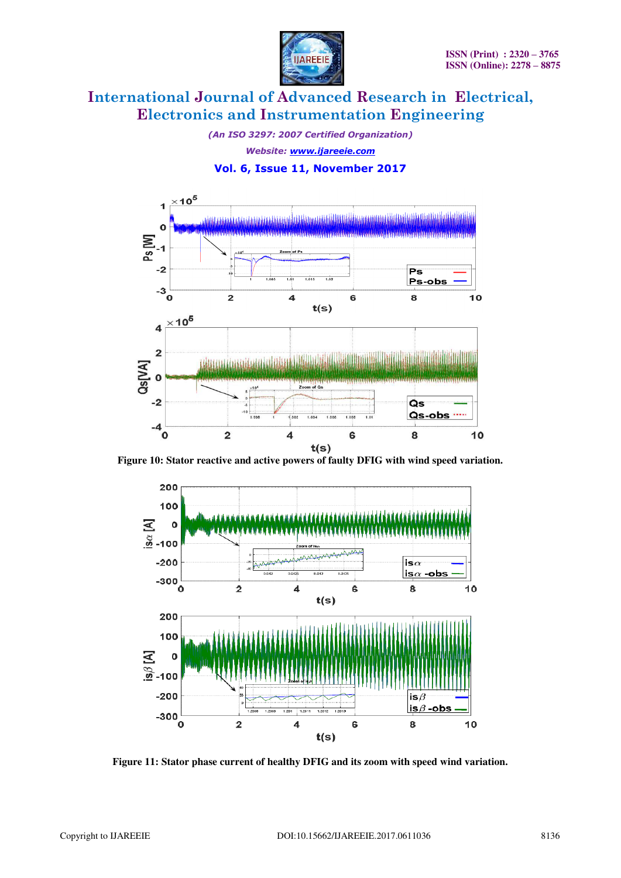

*(An ISO 3297: 2007 Certified Organization) Website: [www.ijareeie.com](http://www.ijareeie.com/)* 

### **Vol. 6, Issue 11, November 2017**



**Figure 10: Stator reactive and active powers of faulty DFIG with wind speed variation.** 



**Figure 11: Stator phase current of healthy DFIG and its zoom with speed wind variation.**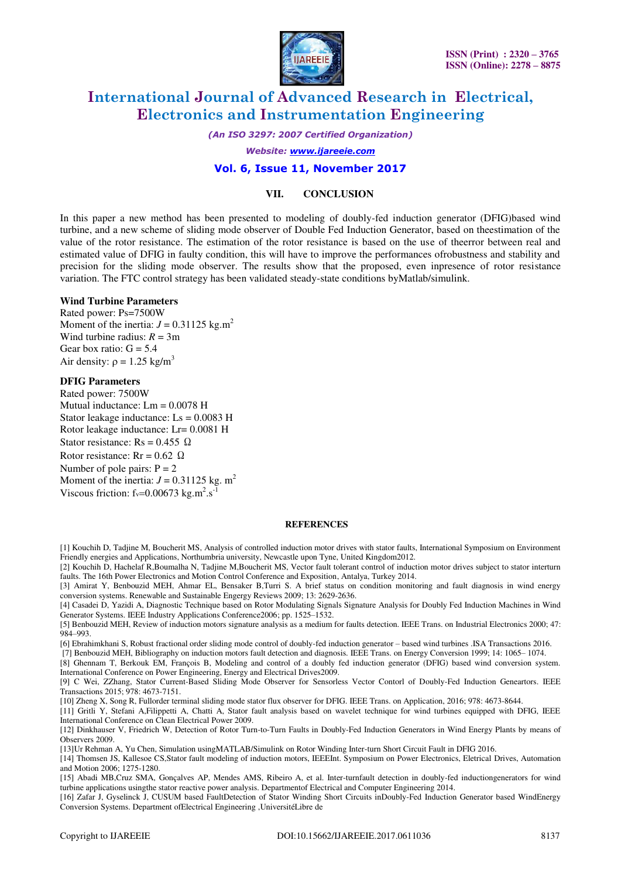

*(An ISO 3297: 2007 Certified Organization)* 

*Website: [www.ijareeie.com](http://www.ijareeie.com/)* 

#### **Vol. 6, Issue 11, November 2017**

#### **VII. CONCLUSION**

In this paper a new method has been presented to modeling of doubly-fed induction generator (DFIG)based wind turbine, and a new scheme of sliding mode observer of Double Fed Induction Generator, based on theestimation of the value of the rotor resistance. The estimation of the rotor resistance is based on the use of theerror between real and estimated value of DFIG in faulty condition, this will have to improve the performances ofrobustness and stability and precision for the sliding mode observer. The results show that the proposed, even inpresence of rotor resistance variation. The FTC control strategy has been validated steady-state conditions byMatlab/simulink.

#### **Wind Turbine Parameters**

Rated power: Ps=7500W Moment of the inertia:  $J = 0.31125$  kg.m<sup>2</sup> Wind turbine radius:  $R = 3m$ Gear box ratio:  $G = 5.4$ Air density:  $\rho = 1.25$  kg/m<sup>3</sup>

#### **DFIG Parameters**

Rated power: 7500W Mutual inductance: Lm = 0.0078 H Stator leakage inductance: Ls = 0.0083 H Rotor leakage inductance: Lr= 0.0081 H Stator resistance: Rs =  $0.455 \Omega$ Rotor resistance:  $Rr = 0.62 \Omega$ Number of pole pairs:  $P = 2$ Moment of the inertia:  $J = 0.31125$  kg. m<sup>2</sup> Viscous friction:  $f_v=0.00673$  kg.m<sup>2</sup>.s<sup>-1</sup>

#### **REFERENCES**

[1] Kouchih D, Tadjine M, Boucherit MS, Analysis of controlled induction motor drives with stator faults, International Symposium on Environment Friendly energies and Applications, Northumbria university, Newcastle upon Tyne, United Kingdom2012.

[2] Kouchih D, Hachelaf R,Boumalha N, Tadjine M,Boucherit MS, Vector fault tolerant control of induction motor drives subject to stator interturn faults. The 16th Power Electronics and Motion Control Conference and Exposition, Antalya, Turkey 2014.

[3] Amirat Y, Benbouzid MEH, Ahmar EL, Bensaker B,Turri S. A brief status on condition monitoring and fault diagnosis in wind energy conversion systems. Renewable and Sustainable Engergy Reviews 2009; 13: 2629-2636.

[4] Casadei D, Yazidi A, Diagnostic Technique based on Rotor Modulating Signals Signature Analysis for Doubly Fed Induction Machines in Wind Generator Systems. IEEE Industry Applications Conference2006; pp. 1525–1532.

[5] Benbouzid MEH, Review of induction motors signature analysis as a medium for faults detection. IEEE Trans. on Industrial Electronics 2000; 47: 984–993.

[6] Ebrahimkhani S, Robust fractional order sliding mode control of doubly-fed induction generator – based wind turbines .ISA Transactions 2016.

 [7] Benbouzid MEH, Bibliography on induction motors fault detection and diagnosis. IEEE Trans. on Energy Conversion 1999; 14: 1065– 1074. [8] Ghennam T, Berkouk EM, François B, Modeling and control of a doubly fed induction generator (DFIG) based wind conversion system. International Conference on Power Engineering, Energy and Electrical Drives2009.

[9] C Wei, ZZhang, Stator Current-Based Sliding Mode Observer for Sensorless Vector Contorl of Doubly-Fed Induction Geneartors. IEEE Transactions 2015; 978: 4673-7151.

[10] Zheng X, Song R, Fullorder terminal sliding mode stator flux observer for DFIG. IEEE Trans. on Application, 2016; 978: 4673-8644.

[11] Gritli Y, Stefani A,Filippetti A, Chatti A, Stator fault analysis based on wavelet technique for wind turbines equipped with DFIG, IEEE International Conference on Clean Electrical Power 2009.

[12] Dinkhauser V, Friedrich W, Detection of Rotor Turn-to-Turn Faults in Doubly-Fed Induction Generators in Wind Energy Plants by means of Observers 2009.

[13]Ur Rehman A, Yu Chen, Simulation usingMATLAB/Simulink on Rotor Winding Inter-turn Short Circuit Fault in DFIG 2016.

[14] Thomsen JS, Kallesoe CS,Stator fault modeling of induction motors, IEEEInt. Symposium on Power Electronics, Eletrical Drives, Automation and Motion 2006; 1275-1280.

[15] Abadi MB,Cruz SMA, Gonçalves AP, Mendes AMS, Ribeiro A, et al. Inter-turnfault detection in doubly-fed inductiongenerators for wind turbine applications usingthe stator reactive power analysis. Departmentof Electrical and Computer Engineering 2014.

[16] Zafar J, Gyselinck J, CUSUM based FaultDetection of Stator Winding Short Circuits inDoubly-Fed Induction Generator based WindEnergy Conversion Systems. Department ofElectrical Engineering ,UniversitéLibre de